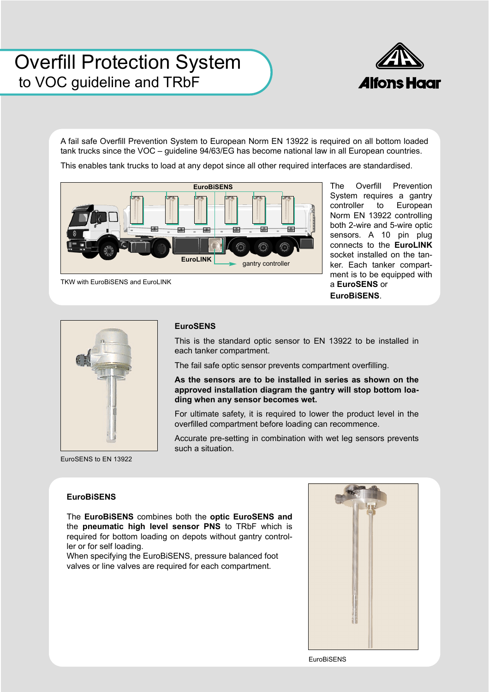# Overfill Protection System<br>to VOC quideline and TRbF to VOC guideline and TRbF



A fail safe Overfill Prevention System to European Norm EN 13922 is required on all bottom loaded tank trucks since the VOC – guideline 94/63/EG has become national law in all European countries.

This enables tank trucks to load at any depot since all other required interfaces are standardised.



The Overfill Prevention System requires a gantry controller to European Norm EN 13922 controlling both 2-wire and 5-wire optic sensors. A 10 pin plug connects to the **EuroLINK** socket installed on the tanker. Each tanker compartment is to be equipped with a **EuroSENS** or **EuroBiSENS**.





#### **EuroSENS**

This is the standard optic sensor to EN 13922 to be installed in each tanker compartment.

The fail safe optic sensor prevents compartment overfilling.

**As the sensors are to be installed in series as shown on the approved installation diagram the gantry will stop bottom loading when any sensor becomes wet.**

For ultimate safety, it is required to lower the product level in the overfilled compartment before loading can recommence.

Accurate pre-setting in combination with wet leg sensors prevents such a situation.

EuroSENS to EN 13922

### **EuroBiSENS**

The **EuroBiSENS** combines both the **optic EuroSENS and** the **pneumatic high level sensor PNS** to TRbF which is required for bottom loading on depots without gantry controller or for self loading.

When specifying the EuroBiSENS, pressure balanced foot valves or line valves are required for each compartment.